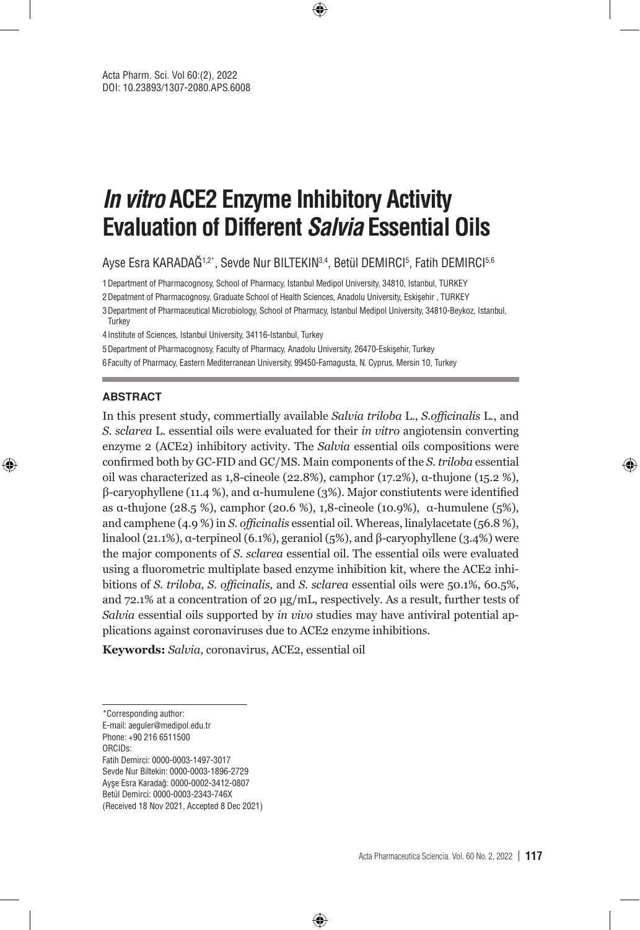# **In vitro ACE2 Enzyme Inhibitory Activity Evaluation of Different Salvia Essential Oils**

⊕

Ayse Esra KARADAG1,2\*, Sevde Nur BILTEKIN3,4, Betül DEMIRCI5, Fatih DEMIRCI5,6

1Department of Pharmacognosy, School of Pharmacy, Istanbul Medipol University, 34810, Istanbul, TURKEY

2Depatment of Pharmacognosy, Graduate School of Health Sciences, Anadolu University, Eskişehir , TURKEY

3Department of Pharmaceutical Microbiology, School of Pharmacy, Istanbul Medipol University, 34810-Beykoz, Istanbul, **Turkey** 

4Institute of Sciences, Istanbul University, 34116-Istanbul, Turkey

5Department of Pharmacognosy, Faculty of Pharmacy, Anadolu University, 26470-Eskişehir, Turkey 6Faculty of Pharmacy, Eastern Mediterranean University, 99450-Famagusta, N. Cyprus, Mersin 10, Turkey

#### **ABSTRACT**

⊕

In this present study, commertially available *Salvia triloba* L., *S.officinalis* L., and *S. sclarea* L. essential oils were evaluated for their *in vitro* angiotensin converting enzyme 2 (ACE2) inhibitory activity. The *Salvia* essential oils compositions were confirmed both by GC-FID and GC/MS. Main components of the *S. triloba* essential oil was characterized as 1,8-cineole (22.8%), camphor (17.2%), α-thujone (15.2 %), β-caryophyllene (11.4 %), and α-humulene (3%). Major constiutents were identified as α-thujone (28.5 %), camphor (20.6 %), 1,8-cineole (10.9%), α-humulene (5%), and camphene (4.9 %) in *S. officinalis* essential oil. Whereas, linalylacetate (56.8 %), linalool (21.1%), α-terpineol (6.1%), geraniol (5%), and β-caryophyllene (3.4%) were the major components of *S. sclarea* essential oil. The essential oils were evaluated using a fluorometric multiplate based enzyme inhibition kit, where the ACE2 inhibitions of *S. triloba, S. officinalis,* and *S. sclarea* essential oils were 50.1%, 60.5%, and 72.1% at a concentration of 20 µg/mL, respectively. As a result, further tests of *Salvia* essential oils supported by *in vivo* studies may have antiviral potential applications against coronaviruses due to ACE2 enzyme inhibitions.

⊕

**Keywords:** *Salvia*, coronavirus, ACE2, essential oil

Phone: +90 216 6511500 ORCIDs:

Fatih Demirci: 0000-0003-1497-3017

Sevde Nur Biltekin: 0000-0003-1896-2729

Ayşe Esra Karadağ: 0000-0002-3412-0807

Betül Demirci: 0000-0003-2343-746X

(Received 18 Nov 2021, Accepted 8 Dec 2021)

<sup>\*</sup>Corresponding author:

E-mail: aeguler@medipol.edu.tr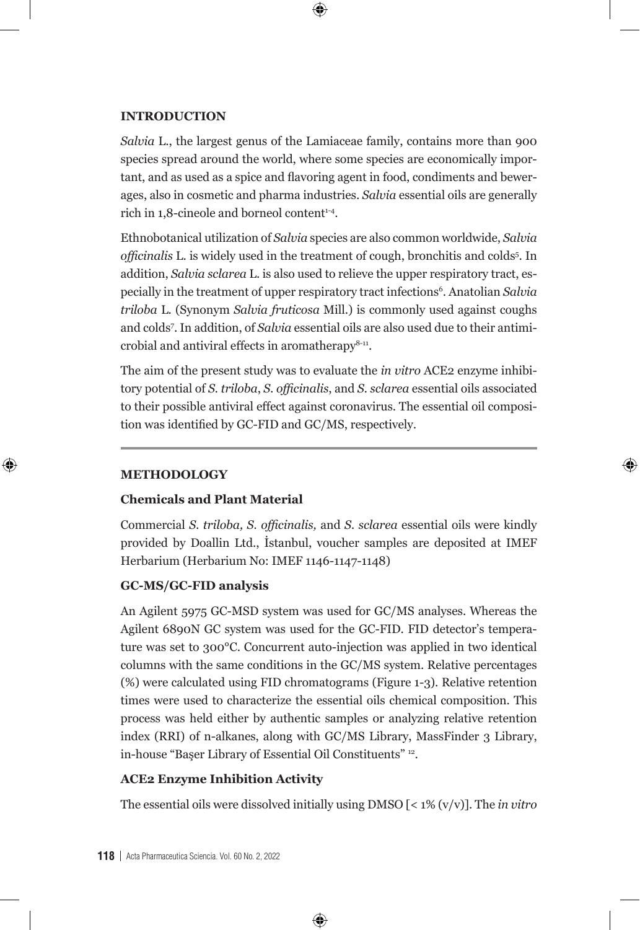#### **INTRODUCTION**

*Salvia* L., the largest genus of the Lamiaceae family, contains more than 900 species spread around the world, where some species are economically important, and as used as a spice and flavoring agent in food, condiments and bewerages, also in cosmetic and pharma industries. *Salvia* essential oils are generally rich in 1,8-cineole and borneol content<sup>1-4</sup>.

 $\bm \Theta$ 

Ethnobotanical utilization of *Salvia* species are also common worldwide, *Salvia*  officinalis L. is widely used in the treatment of cough, bronchitis and colds<sup>5</sup>. In addition, *Salvia sclarea* L. is also used to relieve the upper respiratory tract, especially in the treatment of upper respiratory tract infections<sup>6</sup>. Anatolian *Salvia triloba* L. (Synonym *Salvia fruticosa* Mill.) is commonly used against coughs and colds7 . In addition, of *Salvia* essential oils are also used due to their antimicrobial and antiviral effects in aromatherapy $8-11$ .

The aim of the present study was to evaluate the *in vitro* ACE2 enzyme inhibitory potential of *S. triloba*, *S. officinalis*, and *S. sclarea* essential oils associated to their possible antiviral effect against coronavirus. The essential oil composition was identified by GC-FID and GC/MS, respectively.

⊕

#### **METHODOLOGY**

⊕

### **Chemicals and Plant Material**

Commercial *S. triloba, S. officinalis,* and *S. sclarea* essential oils were kindly provided by Doallin Ltd., İstanbul, voucher samples are deposited at IMEF Herbarium (Herbarium No: IMEF 1146-1147-1148)

#### **GC-MS/GC-FID analysis**

An Agilent 5975 GC-MSD system was used for GC/MS analyses. Whereas the Agilent 6890N GC system was used for the GC-FID. FID detector's temperature was set to 300°C. Concurrent auto-injection was applied in two identical columns with the same conditions in the GC/MS system. Relative percentages (%) were calculated using FID chromatograms (Figure 1-3). Relative retention times were used to characterize the essential oils chemical composition. This process was held either by authentic samples or analyzing relative retention index (RRI) of n-alkanes, along with GC/MS Library, MassFinder 3 Library, in-house "Başer Library of Essential Oil Constituents" 12.

# **ACE2 Enzyme Inhibition Activity**

The essential oils were dissolved initially using DMSO [< 1% (v/v)]. The *in vitro*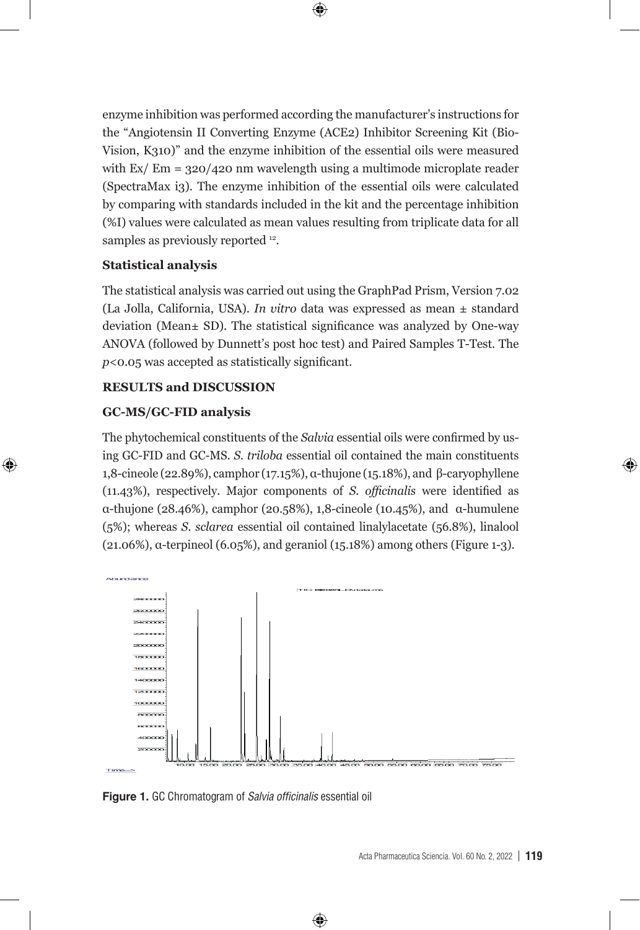

enzyme inhibition was performed according the manufacturer's instructions for the "Angiotensin II Converting Enzyme (ACE2) Inhibitor Screening Kit (Bio-Vision, K310)" and the enzyme inhibition of the essential oils were measured with Ex/ Em = 320/420 nm wavelength using a multimode microplate reader (SpectraMax i3). The enzyme inhibition of the essential oils were calculated by comparing with standards included in the kit and the percentage inhibition (%I) values were calculated as mean values resulting from triplicate data for all samples as previously reported  $^{12}$ . The essential oils were dissolved initially using DMSO [< 1% (v/v)]. The *in vitro* enzyme inhibition was performed according the manufacturer's instructions for the "Angiotensin II Converting Enzyme

#### **i** is tatistical analysis

The statistical analysis was carried out using the GraphPad Prism, Version 7.02 (La Jolla, California, USA). *In vitro* data was expressed as mean ± standard deviation (Mean± SD). The statistical significance was analyzed by One-way ANOVA (followed by Dunnett's post hoc test) and Paired Samples T-Test. The  $p<$  0.05 was accepted as statistically significant.  $\frac{1}{2}$ 

# RESULTS and DISCUSSION

# $GC-MS/GC-FID$  analysis

⊕

The phytochemical constituents of the *Salvia* essential oils were confirmed by using GC-FID and GC-MS. *S. triloba* essential oil contained the main constituents 1,8-cineole (22.89%), camphor (17.15%), α-thujone (15.18%), and β-caryophyllene MS. *S. triloba* essential oil contained the main constituents 1,8-cineole (22.89%), camphor (17.15%), (11.43%), respectively. Major components of *S. officinalis* were identified as α-thujone (28.46%), camphor (20.58%), 1,8-cineole (10.45%), and α-humulene (5%); whereas *S. sclarea* essential oil contained linalylacetate (56.8%), linalool (21.06%), α-terpineol (6.05%), and geraniol (15.18%) among others (Figure 1-3). and geraniol (15.18%) among others (Figure 1-3).



⊕

**Figure 1.** GC Chromatogram of Salvia officinalis essential oil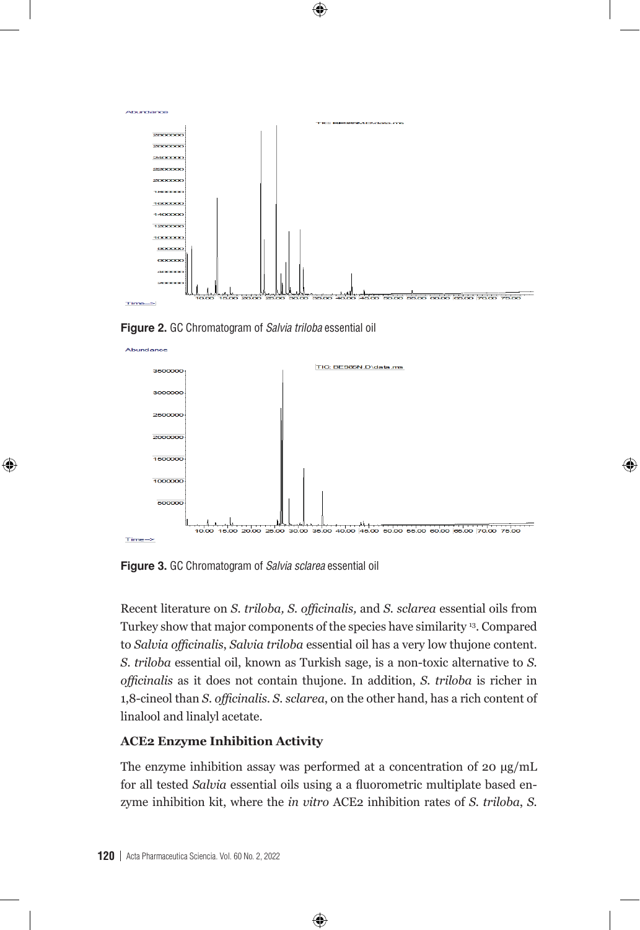

 $\bm \Theta$ 

**Figure 2.** GC Chromatogram of *Salvia triloba* essential oil **Figure 2.** GC Chromatogram of Salvia triloba essential oil



⊕

**Figure 3.** GC Chromatogram of *Salvia sclarea* essential oil **Figure 3.** GC Chromatogram of *Salvia sclarea* essential oil **Figure 3.** GC Chromatogram of Salvia sclarea essential oil

Turkey show that major components of the species have similarity<sup>13</sup>. Compared to Salvia officinalis, Salvia triloba essential oil has a very low thujone content. S. triloba essential oil, known as Turkish sage, is a non-toxic alternative to S. officinalis as it does not contain thujone. In addition, *S. triloba* is richer in *fficinally* as it above hot contains the joint in attention, or thrown to  $\frac{1}{2}$ ,  $\frac{1}{2}$  contains and  $\frac{1}{2}$ Recent literature on S. triloba, S. officinalis, and S. sclarea essential oils from **1,8-cineol than** *S. officinalis*. *S. sclarea*, on the other hand, has a rich content of linalool and linalyl acetate.

#### oils using a a fluorometric multiplate based enzyme inhibition kit, where the *in vitro* ACE2 inhibition oils using a a fluorometric multiplate based enzyme inhibition kit, where the *in vitro* ACE2 inhibition **ACE2 Enzyme Inhibition Activity**

for all tested *Salvia* essential oils using a a fluorometric multiplate based en-The enzyme inhibition assay was performed at a concentration of 20  $\mu$ g/mL zyme inhibition kit, where the *in vitro* ACE2 inhibition rates of *S. triloba*, *S.* 

⊕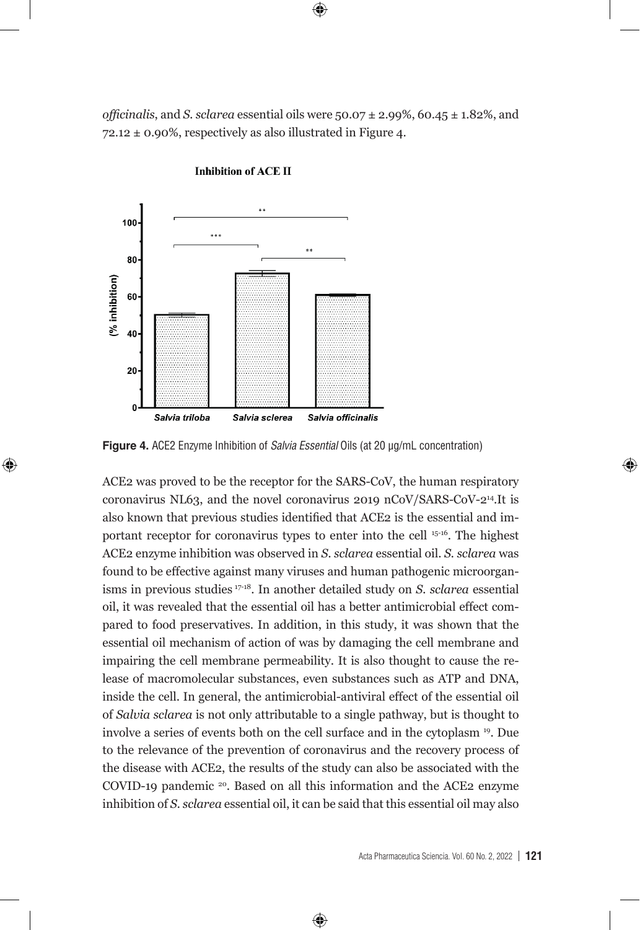*officinalis*, and *S. sclarea* essential oils were  $50.07 \pm 2.99\%$ ,  $60.45 \pm 1.82\%$ , and  $72.12 \pm 0.90\%$ , respectively as also illustrated in Figure 4.

 $\bm \Theta$ 



⊕

**Inhibition of ACE II** 

**Figure 4.** ACE2 Enzyme Inhibition of *Salvia Essential* Oils (at 20 µg/mL concentration)

ACE2 was proved to be the receptor for the SARS-CoV, the human respiratory coronavirus NL63, and  $t_{\text{total}}$  and proved to be the receptor for the britis cov, the namilar respiratory coronavirus NL63, and the novel coronavirus 2019 nCoV/SARS-CoV-2<sup>14</sup>.It is also known that previous studies identified that ACE2 is the essential and important receptor for coronavirus types to enter into the cell <sup>15-16</sup>. The highest ACE2 enzyme inhibition was observed in *S. sclarea* essential oil. *S. sclarea* was found to be effective against many viruses and human pathogenic microorganisms in previous studies <sup>17-18</sup>. In another detailed study on *S. sclarea* essential oil, it was revealed that the essential oil has a better antimicrobial effect compared to food preservatives. In addition, in this study, it was shown that the essential oil mechanism of action of was by damaging the cell membrane and impairing the cell membrane permeability. It is also thought to cause the release of macromolecular substances, even substances such as ATP and DNA, of *Salvia sclarea* is not only attributable to a single pathway, but is thought to involve a series of events both on the cell surface and in the cytoplasm <sup>19</sup>. Due to the relevance of the prevention of coronavirus and the recovery process of the disease with ACE2, the results of the study can also be associated with the COVID-19 pandemic <sup>20</sup>. Based on all this information and the ACE2 enzyme ACE2 was proved to be the receptor for the SARS-CoV, the human respiratory inside the cell. In general, the antimicrobial-antiviral effect of the essential oil inhibition of *S. sclarea* essential oil, it can be said that this essential oil may also

⊕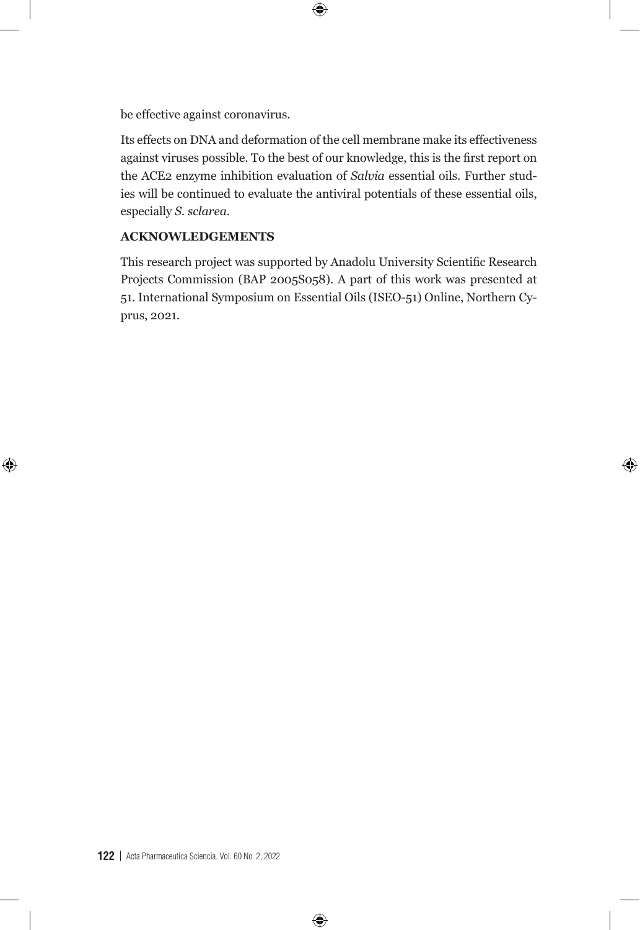be effective against coronavirus.

Its effects on DNA and deformation of the cell membrane make its effectiveness against viruses possible. To the best of our knowledge, this is the first report on the ACE2 enzyme inhibition evaluation of *Salvia* essential oils. Further studies will be continued to evaluate the antiviral potentials of these essential oils, especially *S. sclarea*.

 $\bigoplus$ 

## **ACKNOWLEDGEMENTS**

 $\bigoplus$ 

This research project was supported by Anadolu University Scientific Research Projects Commission (BAP 2005S058). A part of this work was presented at 51. International Symposium on Essential Oils (ISEO-51) Online, Northern Cyprus, 2021.

◈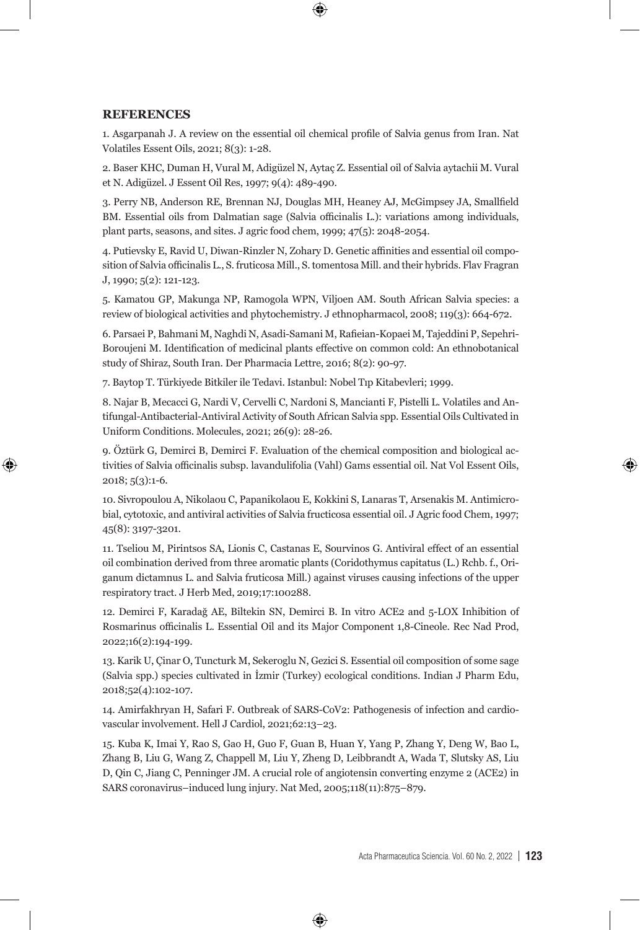#### **REFERENCES**

⊕

1. Asgarpanah J. A review on the essential oil chemical profile of Salvia genus from Iran. Nat Volatiles Essent Oils, 2021; 8(3): 1-28.

⊕

2. Baser KHC, Duman H, Vural M, Adigüzel N, Aytaç Z. Essential oil of Salvia aytachii M. Vural et N. Adigüzel. J Essent Oil Res, 1997; 9(4): 489-490.

3. Perry NB, Anderson RE, Brennan NJ, Douglas MH, Heaney AJ, McGimpsey JA, Smallfield BM. Essential oils from Dalmatian sage (Salvia officinalis L.): variations among individuals, plant parts, seasons, and sites. J agric food chem, 1999; 47(5): 2048-2054.

4. Putievsky E, Ravid U, Diwan-Rinzler N, Zohary D. Genetic affinities and essential oil composition of Salvia officinalis L., S. fruticosa Mill., S. tomentosa Mill. and their hybrids. Flav Fragran J, 1990; 5(2): 121-123.

5. Kamatou GP, Makunga NP, Ramogola WPN, Viljoen AM. South African Salvia species: a review of biological activities and phytochemistry. J ethnopharmacol, 2008; 119(3): 664-672.

6. Parsaei P, Bahmani M, Naghdi N, Asadi-Samani M, Rafieian-Kopaei M, Tajeddini P, Sepehri-Boroujeni M. Identification of medicinal plants effective on common cold: An ethnobotanical study of Shiraz, South Iran. Der Pharmacia Lettre, 2016; 8(2): 90-97.

7. Baytop T. Türkiyede Bitkiler ile Tedavi. Istanbul: Nobel Tıp Kitabevleri; 1999.

8. Najar B, Mecacci G, Nardi V, Cervelli C, Nardoni S, Mancianti F, Pistelli L. Volatiles and Antifungal-Antibacterial-Antiviral Activity of South African Salvia spp. Essential Oils Cultivated in Uniform Conditions. Molecules, 2021; 26(9): 28-26.

9. Öztürk G, Demirci B, Demirci F. Evaluation of the chemical composition and biological activities of Salvia officinalis subsp. lavandulifolia (Vahl) Gams essential oil. Nat Vol Essent Oils, 2018; 5(3):1-6.

10. Sivropoulou A, Nikolaou C, Papanikolaou E, Kokkini S, Lanaras T, Arsenakis M. Antimicrobial, cytotoxic, and antiviral activities of Salvia fructicosa essential oil. J Agric food Chem, 1997; 45(8): 3197-3201.

11. Tseliou M, Pirintsos SA, Lionis C, Castanas E, Sourvinos G. Antiviral effect of an essential oil combination derived from three aromatic plants (Coridothymus capitatus (L.) Rchb. f., Origanum dictamnus L. and Salvia fruticosa Mill.) against viruses causing infections of the upper respiratory tract. J Herb Med, 2019;17:100288.

12. Demirci F, Karadağ AE, Biltekin SN, Demirci B. In vitro ACE2 and 5-LOX Inhibition of Rosmarinus officinalis L. Essential Oil and its Major Component 1,8-Cineole. Rec Nad Prod, 2022;16(2):194-199.

13. Karik U, Çinar O, Tuncturk M, Sekeroglu N, Gezici S. Essential oil composition of some sage (Salvia spp.) species cultivated in İzmir (Turkey) ecological conditions. Indian J Pharm Edu, 2018;52(4):102-107.

14. Amirfakhryan H, Safari F. Outbreak of SARS-CoV2: Pathogenesis of infection and cardiovascular involvement. Hell J Cardiol, 2021;62:13–23.

15. Kuba K, Imai Y, Rao S, Gao H, Guo F, Guan B, Huan Y, Yang P, Zhang Y, Deng W, Bao L, Zhang B, Liu G, Wang Z, Chappell M, Liu Y, Zheng D, Leibbrandt A, Wada T, Slutsky AS, Liu D, Qin C, Jiang C, Penninger JM. A crucial role of angiotensin converting enzyme 2 (ACE2) in SARS coronavirus–induced lung injury. Nat Med, 2005;118(11):875–879.

⊕